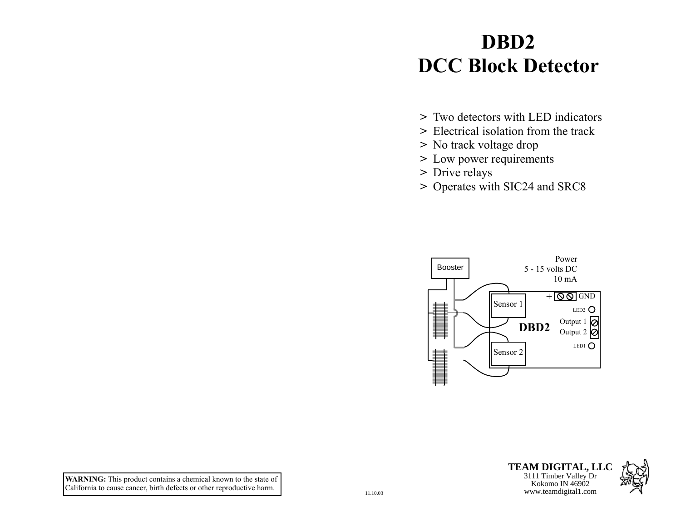# **DBD2 DCC Block Detector**

- **>** Two detectors with LED indicators
- **>** Electrical isolation from the track
- **>** No track voltage drop
- **>** Low power requirements
- **>** Drive relays
- **>** Operates with SIC24 and SRC8





**TEAM DIGITAL, LLC** Kokomo IN 46902<br>www.teamdigital1.com

**WARNING:** This product contains a chemical known to the state of California to cause cancer, birth defects or other reproductive harm.